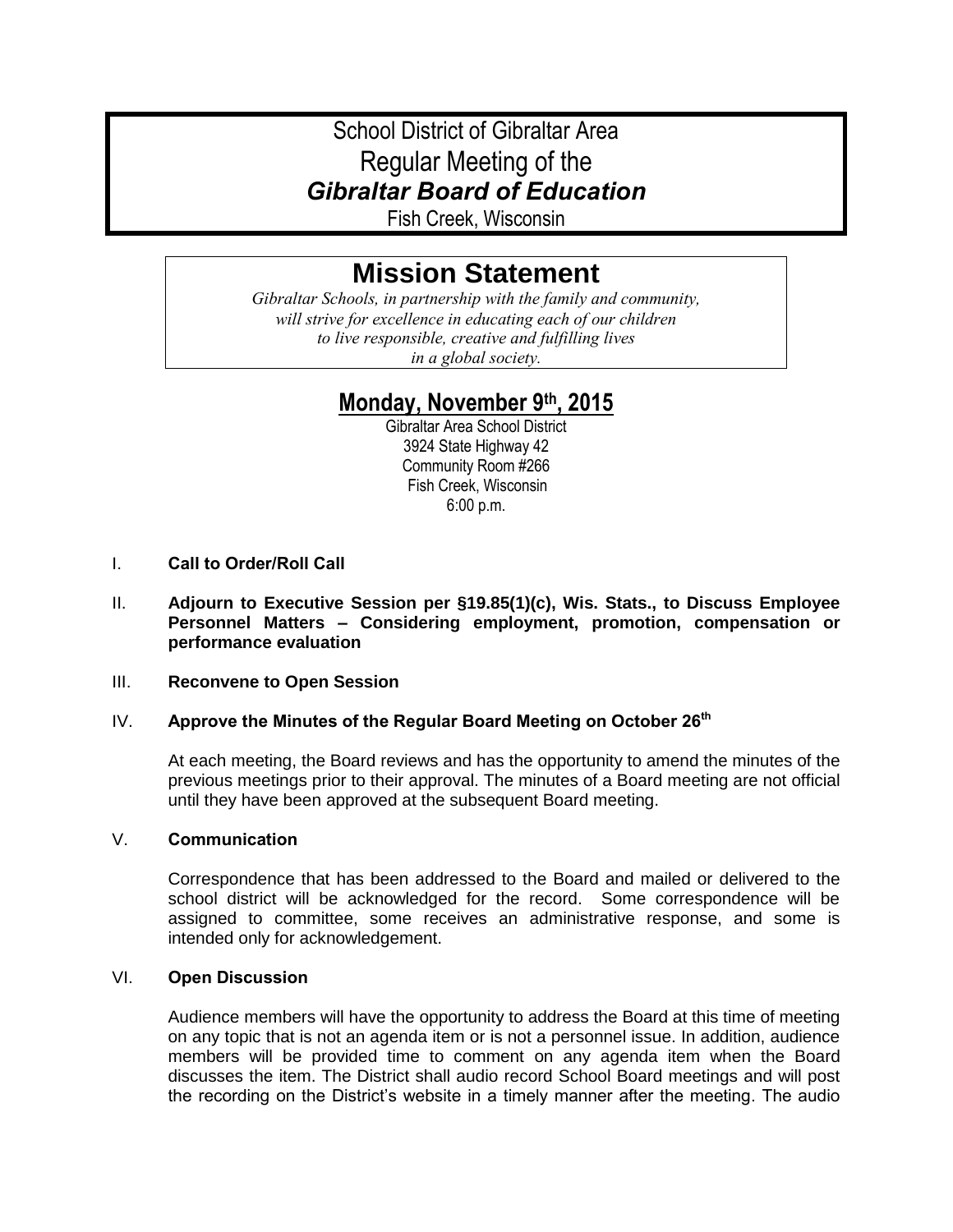## School District of Gibraltar Area Regular Meeting of the *Gibraltar Board of Education*

Fish Creek, Wisconsin

# **Mission Statement**

*Gibraltar Schools, in partnership with the family and community, will strive for excellence in educating each of our children to live responsible, creative and fulfilling lives in a global society.*

### **Monday, November 9th, 2015**

Gibraltar Area School District 3924 State Highway 42 Community Room #266 Fish Creek, Wisconsin 6:00 p.m.

- I. **Call to Order/Roll Call**
- II. **Adjourn to Executive Session per §19.85(1)(c), Wis. Stats., to Discuss Employee Personnel Matters – Considering employment, promotion, compensation or performance evaluation**

#### III. **Reconvene to Open Session**

#### IV. **Approve the Minutes of the Regular Board Meeting on October 26th**

At each meeting, the Board reviews and has the opportunity to amend the minutes of the previous meetings prior to their approval. The minutes of a Board meeting are not official until they have been approved at the subsequent Board meeting.

#### V. **Communication**

Correspondence that has been addressed to the Board and mailed or delivered to the school district will be acknowledged for the record. Some correspondence will be assigned to committee, some receives an administrative response, and some is intended only for acknowledgement.

#### VI. **Open Discussion**

Audience members will have the opportunity to address the Board at this time of meeting on any topic that is not an agenda item or is not a personnel issue. In addition, audience members will be provided time to comment on any agenda item when the Board discusses the item. The District shall audio record School Board meetings and will post the recording on the District's website in a timely manner after the meeting. The audio